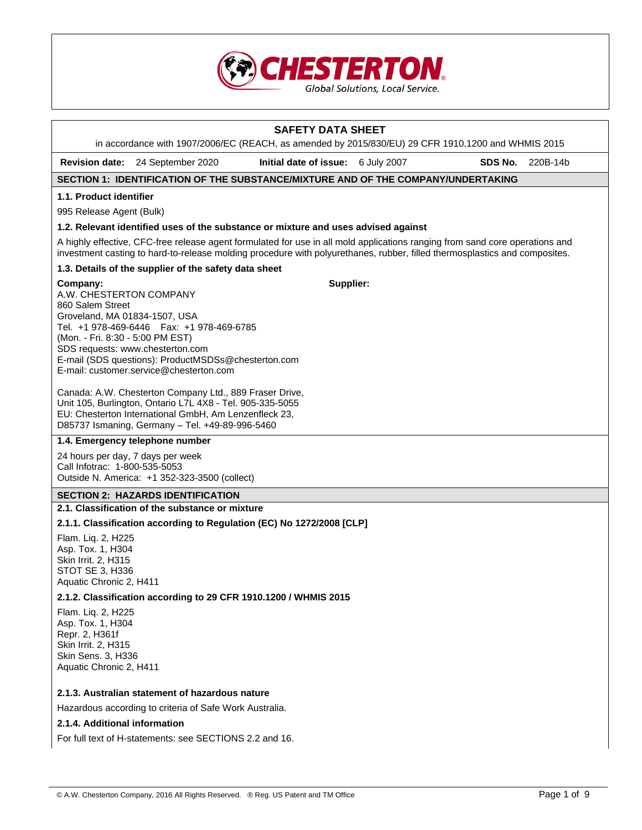

# **SAFETY DATA SHEET**  in accordance with 1907/2006/EC (REACH, as amended by 2015/830/EU) 29 CFR 1910.1200 and WHMIS 2015 **Revision date:** 24 September 2020 **Initial date of issue:** 6 July 2007 **SDS No.** 220B-14b **SECTION 1: IDENTIFICATION OF THE SUBSTANCE/MIXTURE AND OF THE COMPANY/UNDERTAKING 1.1. Product identifier**  995 Release Agent (Bulk) **1.2. Relevant identified uses of the substance or mixture and uses advised against**  A highly effective, CFC-free release agent formulated for use in all mold applications ranging from sand core operations and investment casting to hard-to-release molding procedure with polyurethanes, rubber, filled thermosplastics and composites. **1.3. Details of the supplier of the safety data sheet Company:** A.W. CHESTERTON COMPANY 860 Salem Street Groveland, MA 01834-1507, USA Tel. +1 978-469-6446 Fax: +1 978-469-6785 (Mon. - Fri. 8:30 - 5:00 PM EST) SDS requests: www.chesterton.com E-mail (SDS questions): ProductMSDSs@chesterton.com E-mail: customer.service@chesterton.com Canada: A.W. Chesterton Company Ltd., 889 Fraser Drive, Unit 105, Burlington, Ontario L7L 4X8 - Tel. 905-335-5055 EU: Chesterton International GmbH, Am Lenzenfleck 23, D85737 Ismaning, Germany – Tel. +49-89-996-5460 **Supplier: 1.4. Emergency telephone number**  24 hours per day, 7 days per week Call Infotrac: 1-800-535-5053 Outside N. America: +1 352-323-3500 (collect) **SECTION 2: HAZARDS IDENTIFICATION 2.1. Classification of the substance or mixture 2.1.1. Classification according to Regulation (EC) No 1272/2008 [CLP]**  Flam. Liq. 2, H225 Asp. Tox. 1, H304 Skin Irrit. 2, H315 STOT SE 3, H336 Aquatic Chronic 2, H411 **2.1.2. Classification according to 29 CFR 1910.1200 / WHMIS 2015**  Flam. Liq. 2, H225 Asp. Tox. 1, H304 Repr. 2, H361f Skin Irrit. 2, H315 Skin Sens. 3, H336 Aquatic Chronic 2, H411 **2.1.3. Australian statement of hazardous nature**  Hazardous according to criteria of Safe Work Australia. **2.1.4. Additional information**

For full text of H-statements: see SECTIONS 2.2 and 16.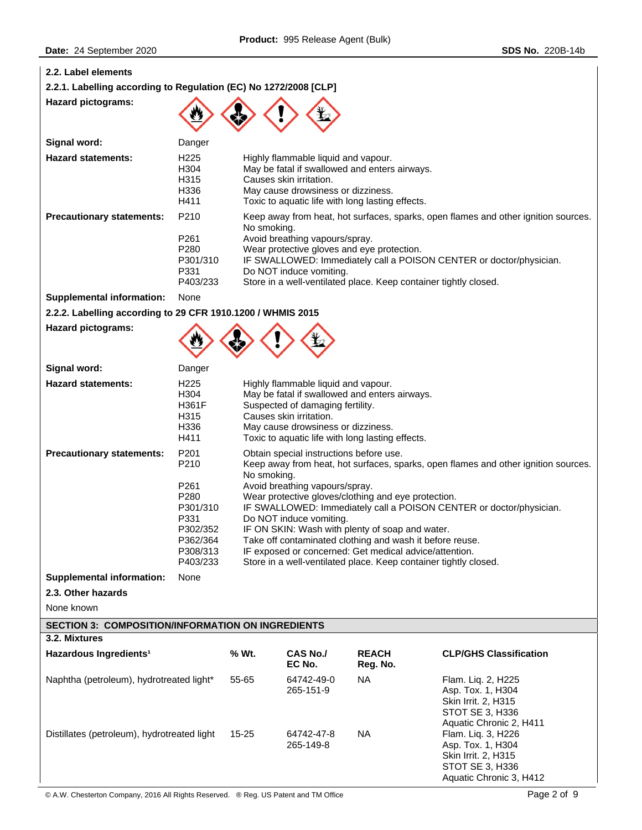| 2.2. Label elements                                              |                                                                                                  |                                                                                                                                                                                                                                                                                                                                                                                                                                                                                                                                                                                      |                                                                                                                                          |                                                                                                   |                                                                                                                                                           |
|------------------------------------------------------------------|--------------------------------------------------------------------------------------------------|--------------------------------------------------------------------------------------------------------------------------------------------------------------------------------------------------------------------------------------------------------------------------------------------------------------------------------------------------------------------------------------------------------------------------------------------------------------------------------------------------------------------------------------------------------------------------------------|------------------------------------------------------------------------------------------------------------------------------------------|---------------------------------------------------------------------------------------------------|-----------------------------------------------------------------------------------------------------------------------------------------------------------|
| 2.2.1. Labelling according to Regulation (EC) No 1272/2008 [CLP] |                                                                                                  |                                                                                                                                                                                                                                                                                                                                                                                                                                                                                                                                                                                      |                                                                                                                                          |                                                                                                   |                                                                                                                                                           |
| <b>Hazard pictograms:</b>                                        |                                                                                                  |                                                                                                                                                                                                                                                                                                                                                                                                                                                                                                                                                                                      |                                                                                                                                          |                                                                                                   |                                                                                                                                                           |
| Signal word:                                                     | Danger                                                                                           |                                                                                                                                                                                                                                                                                                                                                                                                                                                                                                                                                                                      |                                                                                                                                          |                                                                                                   |                                                                                                                                                           |
| <b>Hazard statements:</b>                                        | H225<br>H304<br>H315<br>H336<br>H411                                                             |                                                                                                                                                                                                                                                                                                                                                                                                                                                                                                                                                                                      | Highly flammable liquid and vapour.<br>Causes skin irritation.<br>May cause drowsiness or dizziness.                                     | May be fatal if swallowed and enters airways.<br>Toxic to aquatic life with long lasting effects. |                                                                                                                                                           |
| <b>Precautionary statements:</b>                                 | P210<br>P261<br>P280<br>P301/310<br>P331<br>P403/233                                             | No smoking.                                                                                                                                                                                                                                                                                                                                                                                                                                                                                                                                                                          | Avoid breathing vapours/spray.<br>Wear protective gloves and eye protection.<br>Do NOT induce vomiting.                                  | Store in a well-ventilated place. Keep container tightly closed.                                  | Keep away from heat, hot surfaces, sparks, open flames and other ignition sources.<br>IF SWALLOWED: Immediately call a POISON CENTER or doctor/physician. |
| <b>Supplemental information:</b>                                 | None                                                                                             |                                                                                                                                                                                                                                                                                                                                                                                                                                                                                                                                                                                      |                                                                                                                                          |                                                                                                   |                                                                                                                                                           |
| 2.2.2. Labelling according to 29 CFR 1910.1200 / WHMIS 2015      |                                                                                                  |                                                                                                                                                                                                                                                                                                                                                                                                                                                                                                                                                                                      |                                                                                                                                          |                                                                                                   |                                                                                                                                                           |
| <b>Hazard pictograms:</b>                                        |                                                                                                  |                                                                                                                                                                                                                                                                                                                                                                                                                                                                                                                                                                                      |                                                                                                                                          |                                                                                                   |                                                                                                                                                           |
| Signal word:                                                     | Danger                                                                                           |                                                                                                                                                                                                                                                                                                                                                                                                                                                                                                                                                                                      |                                                                                                                                          |                                                                                                   |                                                                                                                                                           |
| <b>Hazard statements:</b>                                        | H <sub>225</sub><br>H304<br>H361F<br>H315<br>H336<br>H411                                        |                                                                                                                                                                                                                                                                                                                                                                                                                                                                                                                                                                                      | Highly flammable liquid and vapour.<br>Suspected of damaging fertility.<br>Causes skin irritation.<br>May cause drowsiness or dizziness. | May be fatal if swallowed and enters airways.<br>Toxic to aquatic life with long lasting effects. |                                                                                                                                                           |
| <b>Precautionary statements:</b>                                 | P201<br>P210<br>P261<br>P280<br>P301/310<br>P331<br>P302/352<br>P362/364<br>P308/313<br>P403/233 | Obtain special instructions before use.<br>Keep away from heat, hot surfaces, sparks, open flames and other ignition sources.<br>No smoking.<br>Avoid breathing vapours/spray.<br>Wear protective gloves/clothing and eye protection.<br>IF SWALLOWED: Immediately call a POISON CENTER or doctor/physician.<br>Do NOT induce vomiting.<br>IF ON SKIN: Wash with plenty of soap and water.<br>Take off contaminated clothing and wash it before reuse.<br>IF exposed or concerned: Get medical advice/attention.<br>Store in a well-ventilated place. Keep container tightly closed. |                                                                                                                                          |                                                                                                   |                                                                                                                                                           |
| <b>Supplemental information:</b>                                 | None                                                                                             |                                                                                                                                                                                                                                                                                                                                                                                                                                                                                                                                                                                      |                                                                                                                                          |                                                                                                   |                                                                                                                                                           |
| 2.3. Other hazards                                               |                                                                                                  |                                                                                                                                                                                                                                                                                                                                                                                                                                                                                                                                                                                      |                                                                                                                                          |                                                                                                   |                                                                                                                                                           |
| None known                                                       |                                                                                                  |                                                                                                                                                                                                                                                                                                                                                                                                                                                                                                                                                                                      |                                                                                                                                          |                                                                                                   |                                                                                                                                                           |
| <b>SECTION 3: COMPOSITION/INFORMATION ON INGREDIENTS</b>         |                                                                                                  |                                                                                                                                                                                                                                                                                                                                                                                                                                                                                                                                                                                      |                                                                                                                                          |                                                                                                   |                                                                                                                                                           |
| 3.2. Mixtures                                                    |                                                                                                  |                                                                                                                                                                                                                                                                                                                                                                                                                                                                                                                                                                                      |                                                                                                                                          |                                                                                                   |                                                                                                                                                           |
| Hazardous Ingredients <sup>1</sup>                               |                                                                                                  | % Wt.                                                                                                                                                                                                                                                                                                                                                                                                                                                                                                                                                                                | <b>CAS No./</b><br>EC No.                                                                                                                | <b>REACH</b><br>Reg. No.                                                                          | <b>CLP/GHS Classification</b>                                                                                                                             |
| Naphtha (petroleum), hydrotreated light*                         |                                                                                                  | 55-65                                                                                                                                                                                                                                                                                                                                                                                                                                                                                                                                                                                | 64742-49-0<br>265-151-9                                                                                                                  | NA                                                                                                | Flam. Liq. 2, H225<br>Asp. Tox. 1, H304<br>Skin Irrit. 2, H315<br>STOT SE 3, H336<br>Aquatic Chronic 2, H411                                              |
| Distillates (petroleum), hydrotreated light                      |                                                                                                  | 15-25                                                                                                                                                                                                                                                                                                                                                                                                                                                                                                                                                                                | 64742-47-8<br>265-149-8                                                                                                                  | NA.                                                                                               | Flam. Liq. 3, H226<br>Asp. Tox. 1, H304<br>Skin Irrit. 2, H315<br>STOT SE 3, H336                                                                         |

Aquatic Chronic 3, H412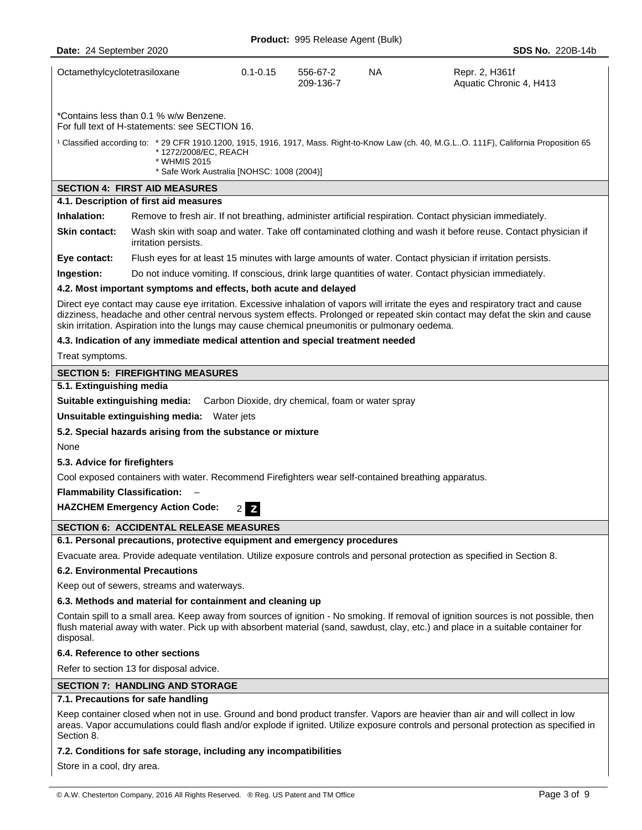|                                                                                                                                                                                                                                                                                        |                                                                                                |              | <b>Product: 995 Release Agent (Bulk)</b>          |     |                                                                                                                                                                                                                                                                     |
|----------------------------------------------------------------------------------------------------------------------------------------------------------------------------------------------------------------------------------------------------------------------------------------|------------------------------------------------------------------------------------------------|--------------|---------------------------------------------------|-----|---------------------------------------------------------------------------------------------------------------------------------------------------------------------------------------------------------------------------------------------------------------------|
| Date: 24 September 2020                                                                                                                                                                                                                                                                |                                                                                                |              |                                                   |     | <b>SDS No. 220B-14b</b>                                                                                                                                                                                                                                             |
| Octamethylcyclotetrasiloxane                                                                                                                                                                                                                                                           |                                                                                                | $0.1 - 0.15$ | 556-67-2<br>209-136-7                             | NA. | Repr. 2, H361f<br>Aquatic Chronic 4, H413                                                                                                                                                                                                                           |
|                                                                                                                                                                                                                                                                                        | *Contains less than 0.1 % w/w Benzene.<br>For full text of H-statements: see SECTION 16.       |              |                                                   |     |                                                                                                                                                                                                                                                                     |
|                                                                                                                                                                                                                                                                                        | *1272/2008/EC, REACH<br>* WHMIS 2015<br>* Safe Work Australia [NOHSC: 1008 (2004)]             |              |                                                   |     | <sup>1</sup> Classified according to: * 29 CFR 1910.1200, 1915, 1916, 1917, Mass. Right-to-Know Law (ch. 40, M.G.LO. 111F), California Proposition 65                                                                                                               |
|                                                                                                                                                                                                                                                                                        | <b>SECTION 4: FIRST AID MEASURES</b>                                                           |              |                                                   |     |                                                                                                                                                                                                                                                                     |
|                                                                                                                                                                                                                                                                                        | 4.1. Description of first aid measures                                                         |              |                                                   |     |                                                                                                                                                                                                                                                                     |
| Inhalation:                                                                                                                                                                                                                                                                            |                                                                                                |              |                                                   |     | Remove to fresh air. If not breathing, administer artificial respiration. Contact physician immediately.                                                                                                                                                            |
| <b>Skin contact:</b>                                                                                                                                                                                                                                                                   | irritation persists.                                                                           |              |                                                   |     | Wash skin with soap and water. Take off contaminated clothing and wash it before reuse. Contact physician if                                                                                                                                                        |
| Eye contact:                                                                                                                                                                                                                                                                           |                                                                                                |              |                                                   |     | Flush eyes for at least 15 minutes with large amounts of water. Contact physician if irritation persists.                                                                                                                                                           |
| Ingestion:                                                                                                                                                                                                                                                                             |                                                                                                |              |                                                   |     | Do not induce vomiting. If conscious, drink large quantities of water. Contact physician immediately.                                                                                                                                                               |
|                                                                                                                                                                                                                                                                                        | 4.2. Most important symptoms and effects, both acute and delayed                               |              |                                                   |     |                                                                                                                                                                                                                                                                     |
|                                                                                                                                                                                                                                                                                        | skin irritation. Aspiration into the lungs may cause chemical pneumonitis or pulmonary oedema. |              |                                                   |     | Direct eye contact may cause eye irritation. Excessive inhalation of vapors will irritate the eyes and respiratory tract and cause<br>dizziness, headache and other central nervous system effects. Prolonged or repeated skin contact may defat the skin and cause |
|                                                                                                                                                                                                                                                                                        | 4.3. Indication of any immediate medical attention and special treatment needed                |              |                                                   |     |                                                                                                                                                                                                                                                                     |
| Treat symptoms.                                                                                                                                                                                                                                                                        |                                                                                                |              |                                                   |     |                                                                                                                                                                                                                                                                     |
|                                                                                                                                                                                                                                                                                        | <b>SECTION 5: FIREFIGHTING MEASURES</b>                                                        |              |                                                   |     |                                                                                                                                                                                                                                                                     |
| 5.1. Extinguishing media                                                                                                                                                                                                                                                               |                                                                                                |              |                                                   |     |                                                                                                                                                                                                                                                                     |
|                                                                                                                                                                                                                                                                                        | Suitable extinguishing media:                                                                  |              | Carbon Dioxide, dry chemical, foam or water spray |     |                                                                                                                                                                                                                                                                     |
|                                                                                                                                                                                                                                                                                        | Unsuitable extinguishing media: Water jets                                                     |              |                                                   |     |                                                                                                                                                                                                                                                                     |
|                                                                                                                                                                                                                                                                                        | 5.2. Special hazards arising from the substance or mixture                                     |              |                                                   |     |                                                                                                                                                                                                                                                                     |
| None                                                                                                                                                                                                                                                                                   |                                                                                                |              |                                                   |     |                                                                                                                                                                                                                                                                     |
| 5.3. Advice for firefighters                                                                                                                                                                                                                                                           |                                                                                                |              |                                                   |     |                                                                                                                                                                                                                                                                     |
| Cool exposed containers with water. Recommend Firefighters wear self-contained breathing apparatus.                                                                                                                                                                                    |                                                                                                |              |                                                   |     |                                                                                                                                                                                                                                                                     |
| <b>Flammability Classification:</b>                                                                                                                                                                                                                                                    |                                                                                                |              |                                                   |     |                                                                                                                                                                                                                                                                     |
| <b>HAZCHEM Emergency Action Code:</b><br>2Z                                                                                                                                                                                                                                            |                                                                                                |              |                                                   |     |                                                                                                                                                                                                                                                                     |
|                                                                                                                                                                                                                                                                                        | <b>SECTION 6: ACCIDENTAL RELEASE MEASURES</b>                                                  |              |                                                   |     |                                                                                                                                                                                                                                                                     |
|                                                                                                                                                                                                                                                                                        | 6.1. Personal precautions, protective equipment and emergency procedures                       |              |                                                   |     |                                                                                                                                                                                                                                                                     |
|                                                                                                                                                                                                                                                                                        |                                                                                                |              |                                                   |     | Evacuate area. Provide adequate ventilation. Utilize exposure controls and personal protection as specified in Section 8.                                                                                                                                           |
|                                                                                                                                                                                                                                                                                        | <b>6.2. Environmental Precautions</b>                                                          |              |                                                   |     |                                                                                                                                                                                                                                                                     |
|                                                                                                                                                                                                                                                                                        | Keep out of sewers, streams and waterways.                                                     |              |                                                   |     |                                                                                                                                                                                                                                                                     |
| 6.3. Methods and material for containment and cleaning up                                                                                                                                                                                                                              |                                                                                                |              |                                                   |     |                                                                                                                                                                                                                                                                     |
| Contain spill to a small area. Keep away from sources of ignition - No smoking. If removal of ignition sources is not possible, then<br>flush material away with water. Pick up with absorbent material (sand, sawdust, clay, etc.) and place in a suitable container for<br>disposal. |                                                                                                |              |                                                   |     |                                                                                                                                                                                                                                                                     |
| 6.4. Reference to other sections                                                                                                                                                                                                                                                       |                                                                                                |              |                                                   |     |                                                                                                                                                                                                                                                                     |
|                                                                                                                                                                                                                                                                                        | Refer to section 13 for disposal advice.                                                       |              |                                                   |     |                                                                                                                                                                                                                                                                     |
|                                                                                                                                                                                                                                                                                        | <b>SECTION 7: HANDLING AND STORAGE</b>                                                         |              |                                                   |     |                                                                                                                                                                                                                                                                     |
|                                                                                                                                                                                                                                                                                        | 7.1. Precautions for safe handling                                                             |              |                                                   |     |                                                                                                                                                                                                                                                                     |
| Section 8.                                                                                                                                                                                                                                                                             |                                                                                                |              |                                                   |     | Keep container closed when not in use. Ground and bond product transfer. Vapors are heavier than air and will collect in low<br>areas. Vapor accumulations could flash and/or explode if ignited. Utilize exposure controls and personal protection as specified in |

**7.2. Conditions for safe storage, including any incompatibilities** 

Store in a cool, dry area.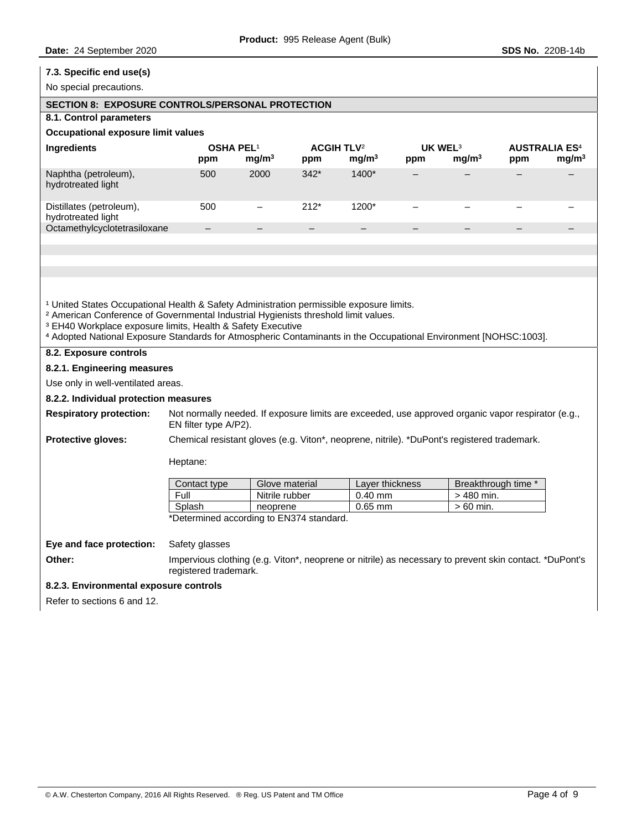# **7.3. Specific end use(s)**  No special precautions. **SECTION 8: EXPOSURE CONTROLS/PERSONAL PROTECTION 8.1. Control parameters Occupational exposure limit values Ingredients OSHA PEL<sup>1</sup> ACGIH TLV<sup>2</sup> UK WEL<sup>3</sup> AUSTRALIA ES<sup>4</sup> ppm mg/m3 ppm mg/m3 ppm mg/m3 ppm mg/m3** Naphtha (petroleum), hydrotreated light 500 2000 342\* 1400\* – – – – Distillates (petroleum), hydrotreated light 500 – 212\* 1200\* – – – – Octamethylcyclotetrasiloxane <sup>1</sup> United States Occupational Health & Safety Administration permissible exposure limits. <sup>2</sup> American Conference of Governmental Industrial Hygienists threshold limit values. <sup>3</sup> EH40 Workplace exposure limits, Health & Safety Executive ⁴ Adopted National Exposure Standards for Atmospheric Contaminants in the Occupational Environment [NOHSC:1003]. **8.2. Exposure controls 8.2.1. Engineering measures**  Use only in well-ventilated areas. **8.2.2. Individual protection measures Respiratory protection:** Not normally needed. If exposure limits are exceeded, use approved organic vapor respirator (e.g., EN filter type A/P2). **Protective gloves:** Chemical resistant gloves (e.g. Viton\*, neoprene, nitrile). \*DuPont's registered trademark. Heptane: Contact type | Glove material | Layer thickness | Breakthrough time \* Full Nitrile rubber 0.40 mm  $| > 480$  min. Splash neoprene 0.65 mm > 60 min. \*Determined according to EN374 standard. **Eye and face protection:** Safety glasses **Other:** Impervious clothing (e.g. Viton\*, neoprene or nitrile) as necessary to prevent skin contact. \*DuPont's registered trademark. **8.2.3. Environmental exposure controls**  Refer to sections 6 and 12.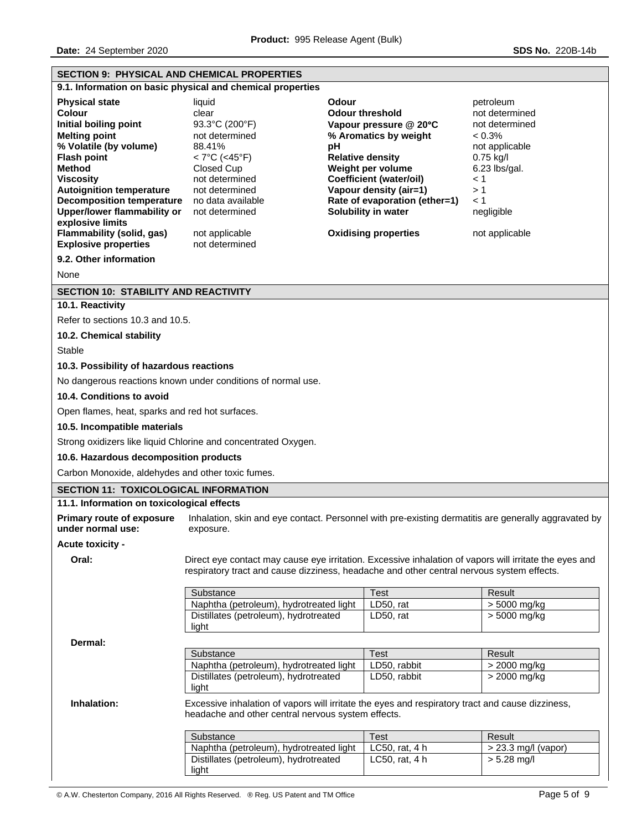| <b>SECTION 9: PHYSICAL AND CHEMICAL PROPERTIES</b>                                                                                                                                                                                                                                                                                         |                                                                                                                                                                                                             |                                                                                                                                                                                                                                                                                             |                                                                                                                                                                              |
|--------------------------------------------------------------------------------------------------------------------------------------------------------------------------------------------------------------------------------------------------------------------------------------------------------------------------------------------|-------------------------------------------------------------------------------------------------------------------------------------------------------------------------------------------------------------|---------------------------------------------------------------------------------------------------------------------------------------------------------------------------------------------------------------------------------------------------------------------------------------------|------------------------------------------------------------------------------------------------------------------------------------------------------------------------------|
| 9.1. Information on basic physical and chemical properties                                                                                                                                                                                                                                                                                 |                                                                                                                                                                                                             |                                                                                                                                                                                                                                                                                             |                                                                                                                                                                              |
| <b>Physical state</b><br><b>Colour</b><br>Initial boiling point<br><b>Melting point</b><br>% Volatile (by volume)<br><b>Flash point</b><br><b>Method</b><br><b>Viscosity</b><br><b>Autoignition temperature</b><br><b>Decomposition temperature</b><br><b>Upper/lower flammability or</b><br>explosive limits<br>Flammability (solid, gas) | liquid<br>clear<br>93.3°C (200°F)<br>not determined<br>88.41%<br>< 7°C (<45°F)<br>Closed Cup<br>not determined<br>not determined<br>no data available<br>not determined<br>not applicable<br>not determined | Odour<br><b>Odour threshold</b><br>Vapour pressure @ 20°C<br>% Aromatics by weight<br>pH<br><b>Relative density</b><br>Weight per volume<br><b>Coefficient (water/oil)</b><br>Vapour density (air=1)<br>Rate of evaporation (ether=1)<br>Solubility in water<br><b>Oxidising properties</b> | petroleum<br>not determined<br>not determined<br>$< 0.3\%$<br>not applicable<br>$0.75$ kg/l<br>$6.23$ lbs/gal.<br>$\leq 1$<br>>1<br>$\leq 1$<br>negligible<br>not applicable |
| <b>Explosive properties</b><br>9.2. Other information                                                                                                                                                                                                                                                                                      |                                                                                                                                                                                                             |                                                                                                                                                                                                                                                                                             |                                                                                                                                                                              |
| None                                                                                                                                                                                                                                                                                                                                       |                                                                                                                                                                                                             |                                                                                                                                                                                                                                                                                             |                                                                                                                                                                              |
|                                                                                                                                                                                                                                                                                                                                            |                                                                                                                                                                                                             |                                                                                                                                                                                                                                                                                             |                                                                                                                                                                              |
| <b>SECTION 10: STABILITY AND REACTIVITY</b><br>10.1. Reactivity                                                                                                                                                                                                                                                                            |                                                                                                                                                                                                             |                                                                                                                                                                                                                                                                                             |                                                                                                                                                                              |
| Refer to sections 10.3 and 10.5.                                                                                                                                                                                                                                                                                                           |                                                                                                                                                                                                             |                                                                                                                                                                                                                                                                                             |                                                                                                                                                                              |
| 10.2. Chemical stability                                                                                                                                                                                                                                                                                                                   |                                                                                                                                                                                                             |                                                                                                                                                                                                                                                                                             |                                                                                                                                                                              |
| Stable                                                                                                                                                                                                                                                                                                                                     |                                                                                                                                                                                                             |                                                                                                                                                                                                                                                                                             |                                                                                                                                                                              |
| 10.3. Possibility of hazardous reactions                                                                                                                                                                                                                                                                                                   |                                                                                                                                                                                                             |                                                                                                                                                                                                                                                                                             |                                                                                                                                                                              |
|                                                                                                                                                                                                                                                                                                                                            | No dangerous reactions known under conditions of normal use.                                                                                                                                                |                                                                                                                                                                                                                                                                                             |                                                                                                                                                                              |
| 10.4. Conditions to avoid                                                                                                                                                                                                                                                                                                                  |                                                                                                                                                                                                             |                                                                                                                                                                                                                                                                                             |                                                                                                                                                                              |
|                                                                                                                                                                                                                                                                                                                                            |                                                                                                                                                                                                             |                                                                                                                                                                                                                                                                                             |                                                                                                                                                                              |
| Open flames, heat, sparks and red hot surfaces.                                                                                                                                                                                                                                                                                            |                                                                                                                                                                                                             |                                                                                                                                                                                                                                                                                             |                                                                                                                                                                              |
| 10.5. Incompatible materials                                                                                                                                                                                                                                                                                                               |                                                                                                                                                                                                             |                                                                                                                                                                                                                                                                                             |                                                                                                                                                                              |
|                                                                                                                                                                                                                                                                                                                                            | Strong oxidizers like liquid Chlorine and concentrated Oxygen.                                                                                                                                              |                                                                                                                                                                                                                                                                                             |                                                                                                                                                                              |
| 10.6. Hazardous decomposition products                                                                                                                                                                                                                                                                                                     |                                                                                                                                                                                                             |                                                                                                                                                                                                                                                                                             |                                                                                                                                                                              |
| Carbon Monoxide, aldehydes and other toxic fumes.                                                                                                                                                                                                                                                                                          |                                                                                                                                                                                                             |                                                                                                                                                                                                                                                                                             |                                                                                                                                                                              |
| <b>SECTION 11: TOXICOLOGICAL INFORMATION</b>                                                                                                                                                                                                                                                                                               |                                                                                                                                                                                                             |                                                                                                                                                                                                                                                                                             |                                                                                                                                                                              |
| 11.1. Information on toxicological effects                                                                                                                                                                                                                                                                                                 |                                                                                                                                                                                                             |                                                                                                                                                                                                                                                                                             |                                                                                                                                                                              |
| <b>Primary route of exposure</b><br>under normal use:                                                                                                                                                                                                                                                                                      | exposure.                                                                                                                                                                                                   | Inhalation, skin and eye contact. Personnel with pre-existing dermatitis are generally aggravated by                                                                                                                                                                                        |                                                                                                                                                                              |
| <b>Acute toxicity -</b>                                                                                                                                                                                                                                                                                                                    |                                                                                                                                                                                                             |                                                                                                                                                                                                                                                                                             |                                                                                                                                                                              |
| Oral:                                                                                                                                                                                                                                                                                                                                      | Direct eye contact may cause eye irritation. Excessive inhalation of vapors will irritate the eyes and<br>respiratory tract and cause dizziness, headache and other central nervous system effects.         |                                                                                                                                                                                                                                                                                             |                                                                                                                                                                              |
|                                                                                                                                                                                                                                                                                                                                            | Substance                                                                                                                                                                                                   | <b>Test</b>                                                                                                                                                                                                                                                                                 | Result                                                                                                                                                                       |
|                                                                                                                                                                                                                                                                                                                                            | Naphtha (petroleum), hydrotreated light                                                                                                                                                                     | LD50, rat                                                                                                                                                                                                                                                                                   | > 5000 mg/kg                                                                                                                                                                 |
|                                                                                                                                                                                                                                                                                                                                            | Distillates (petroleum), hydrotreated<br>light                                                                                                                                                              | LD50, rat                                                                                                                                                                                                                                                                                   | > 5000 mg/kg                                                                                                                                                                 |
| Dermal:                                                                                                                                                                                                                                                                                                                                    |                                                                                                                                                                                                             |                                                                                                                                                                                                                                                                                             |                                                                                                                                                                              |
|                                                                                                                                                                                                                                                                                                                                            | Substance                                                                                                                                                                                                   | <b>Test</b>                                                                                                                                                                                                                                                                                 | Result                                                                                                                                                                       |
|                                                                                                                                                                                                                                                                                                                                            | Naphtha (petroleum), hydrotreated light                                                                                                                                                                     | LD50, rabbit                                                                                                                                                                                                                                                                                | > 2000 mg/kg                                                                                                                                                                 |
|                                                                                                                                                                                                                                                                                                                                            | Distillates (petroleum), hydrotreated<br>light                                                                                                                                                              | LD50, rabbit                                                                                                                                                                                                                                                                                | $> 2000$ mg/kg                                                                                                                                                               |
| Inhalation:                                                                                                                                                                                                                                                                                                                                | Excessive inhalation of vapors will irritate the eyes and respiratory tract and cause dizziness,<br>headache and other central nervous system effects.                                                      |                                                                                                                                                                                                                                                                                             |                                                                                                                                                                              |
|                                                                                                                                                                                                                                                                                                                                            | Substance                                                                                                                                                                                                   | <b>Test</b>                                                                                                                                                                                                                                                                                 | Result                                                                                                                                                                       |
|                                                                                                                                                                                                                                                                                                                                            | Naphtha (petroleum), hydrotreated light                                                                                                                                                                     | LC50, rat, 4 h                                                                                                                                                                                                                                                                              | > 23.3 mg/l (vapor)                                                                                                                                                          |
|                                                                                                                                                                                                                                                                                                                                            | Distillates (petroleum), hydrotreated<br>light                                                                                                                                                              | LC50, rat, 4 h                                                                                                                                                                                                                                                                              | $> 5.28$ mg/l                                                                                                                                                                |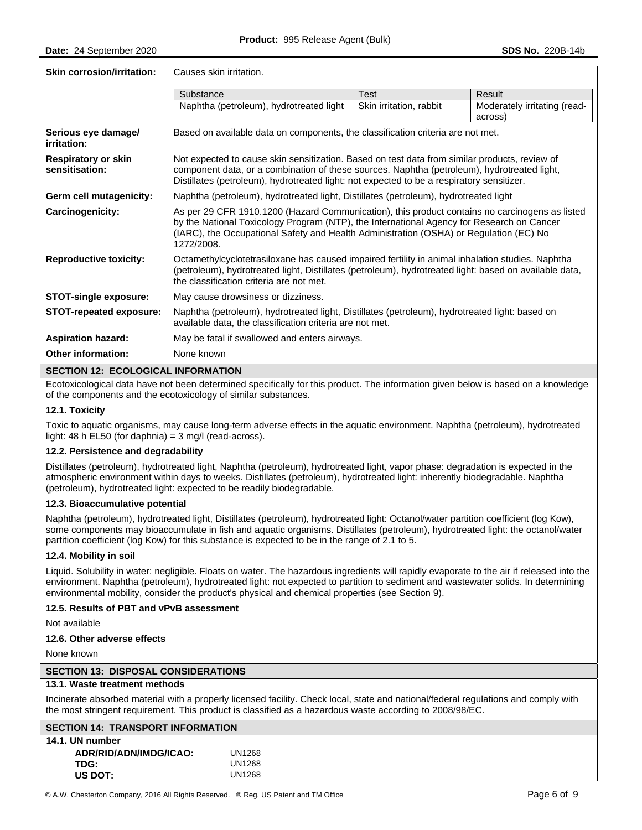**Skin corrosion/irritation:** Causes skin irritation.

|                                              | Substance                                                                                                                                                                                                                                                                                           | <b>Test</b>             | Result                                  |  |
|----------------------------------------------|-----------------------------------------------------------------------------------------------------------------------------------------------------------------------------------------------------------------------------------------------------------------------------------------------------|-------------------------|-----------------------------------------|--|
|                                              | Naphtha (petroleum), hydrotreated light                                                                                                                                                                                                                                                             | Skin irritation, rabbit | Moderately irritating (read-<br>across) |  |
| Serious eye damage/<br>irritation:           | Based on available data on components, the classification criteria are not met.                                                                                                                                                                                                                     |                         |                                         |  |
| <b>Respiratory or skin</b><br>sensitisation: | Not expected to cause skin sensitization. Based on test data from similar products, review of<br>component data, or a combination of these sources. Naphtha (petroleum), hydrotreated light,<br>Distillates (petroleum), hydrotreated light: not expected to be a respiratory sensitizer.           |                         |                                         |  |
| Germ cell mutagenicity:                      | Naphtha (petroleum), hydrotreated light, Distillates (petroleum), hydrotreated light                                                                                                                                                                                                                |                         |                                         |  |
| Carcinogenicity:                             | As per 29 CFR 1910.1200 (Hazard Communication), this product contains no carcinogens as listed<br>by the National Toxicology Program (NTP), the International Agency for Research on Cancer<br>(IARC), the Occupational Safety and Health Administration (OSHA) or Regulation (EC) No<br>1272/2008. |                         |                                         |  |
| <b>Reproductive toxicity:</b>                | Octamethylcyclotetrasiloxane has caused impaired fertility in animal inhalation studies. Naphtha<br>(petroleum), hydrotreated light, Distillates (petroleum), hydrotreated light: based on available data,<br>the classification criteria are not met.                                              |                         |                                         |  |
| <b>STOT-single exposure:</b>                 | May cause drowsiness or dizziness.                                                                                                                                                                                                                                                                  |                         |                                         |  |
| STOT-repeated exposure:                      | Naphtha (petroleum), hydrotreated light, Distillates (petroleum), hydrotreated light: based on<br>available data, the classification criteria are not met.                                                                                                                                          |                         |                                         |  |
| <b>Aspiration hazard:</b>                    | May be fatal if swallowed and enters airways.                                                                                                                                                                                                                                                       |                         |                                         |  |
| <b>Other information:</b>                    | None known                                                                                                                                                                                                                                                                                          |                         |                                         |  |

#### **SECTION 12: ECOLOGICAL INFORMATION**

Ecotoxicological data have not been determined specifically for this product. The information given below is based on a knowledge of the components and the ecotoxicology of similar substances.

#### **12.1. Toxicity**

Toxic to aquatic organisms, may cause long-term adverse effects in the aquatic environment. Naphtha (petroleum), hydrotreated light: 48 h EL50 (for daphnia) =  $3 \text{ mg/l}$  (read-across).

#### **12.2. Persistence and degradability**

Distillates (petroleum), hydrotreated light, Naphtha (petroleum), hydrotreated light, vapor phase: degradation is expected in the atmospheric environment within days to weeks. Distillates (petroleum), hydrotreated light: inherently biodegradable. Naphtha (petroleum), hydrotreated light: expected to be readily biodegradable.

#### **12.3. Bioaccumulative potential**

Naphtha (petroleum), hydrotreated light, Distillates (petroleum), hydrotreated light: Octanol/water partition coefficient (log Kow), some components may bioaccumulate in fish and aquatic organisms. Distillates (petroleum), hydrotreated light: the octanol/water partition coefficient (log Kow) for this substance is expected to be in the range of 2.1 to 5.

#### **12.4. Mobility in soil**

Liquid. Solubility in water: negligible. Floats on water. The hazardous ingredients will rapidly evaporate to the air if released into the environment. Naphtha (petroleum), hydrotreated light: not expected to partition to sediment and wastewater solids. In determining environmental mobility, consider the product's physical and chemical properties (see Section 9).

#### **12.5. Results of PBT and vPvB assessment**

Not available

#### **12.6. Other adverse effects**

None known

#### **SECTION 13: DISPOSAL CONSIDERATIONS**

### **13.1. Waste treatment methods**

Incinerate absorbed material with a properly licensed facility. Check local, state and national/federal regulations and comply with the most stringent requirement. This product is classified as a hazardous waste according to 2008/98/EC.

| <b>SECTION 14: TRANSPORT INFORMATION</b> |        |  |
|------------------------------------------|--------|--|
| 14.1. UN number                          |        |  |
| ADR/RID/ADN/IMDG/ICAO:                   | UN1268 |  |
| TDG:                                     | UN1268 |  |
| US DOT:                                  | UN1268 |  |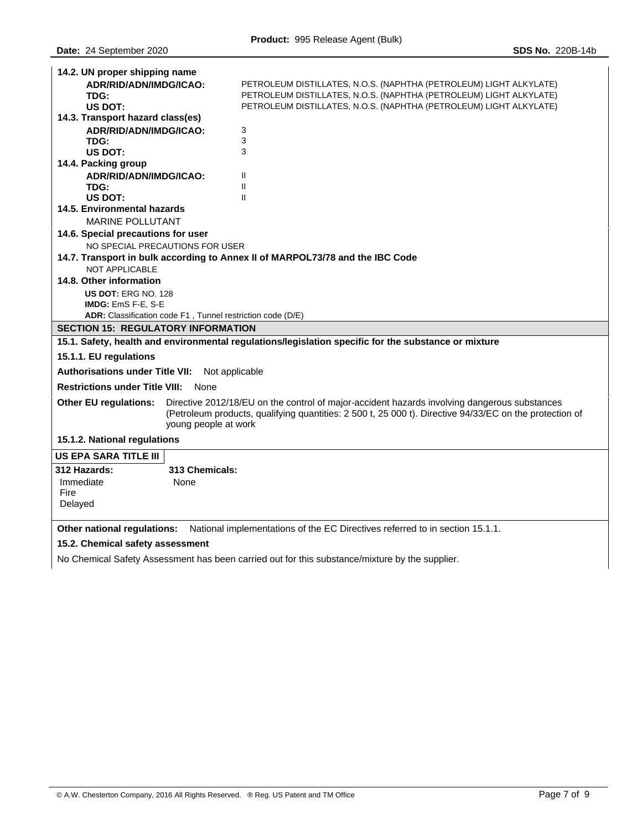| 14.2. UN proper shipping name                                                                               |                                                                                                                                                                                                                                 |                                                                               |  |  |
|-------------------------------------------------------------------------------------------------------------|---------------------------------------------------------------------------------------------------------------------------------------------------------------------------------------------------------------------------------|-------------------------------------------------------------------------------|--|--|
| ADR/RID/ADN/IMDG/ICAO:                                                                                      |                                                                                                                                                                                                                                 | PETROLEUM DISTILLATES, N.O.S. (NAPHTHA (PETROLEUM) LIGHT ALKYLATE)            |  |  |
| TDG:                                                                                                        |                                                                                                                                                                                                                                 | PETROLEUM DISTILLATES, N.O.S. (NAPHTHA (PETROLEUM) LIGHT ALKYLATE)            |  |  |
| US DOT:                                                                                                     |                                                                                                                                                                                                                                 | PETROLEUM DISTILLATES, N.O.S. (NAPHTHA (PETROLEUM) LIGHT ALKYLATE)            |  |  |
| 14.3. Transport hazard class(es)                                                                            |                                                                                                                                                                                                                                 |                                                                               |  |  |
| ADR/RID/ADN/IMDG/ICAO:                                                                                      |                                                                                                                                                                                                                                 | 3                                                                             |  |  |
| TDG:                                                                                                        |                                                                                                                                                                                                                                 | 3                                                                             |  |  |
| US DOT:                                                                                                     |                                                                                                                                                                                                                                 | 3                                                                             |  |  |
| 14.4. Packing group                                                                                         |                                                                                                                                                                                                                                 |                                                                               |  |  |
| ADR/RID/ADN/IMDG/ICAO:<br>TDG:                                                                              |                                                                                                                                                                                                                                 | Ш<br>$\mathbf{H}$                                                             |  |  |
| US DOT:                                                                                                     |                                                                                                                                                                                                                                 | $\mathbf{H}$                                                                  |  |  |
| 14.5. Environmental hazards                                                                                 |                                                                                                                                                                                                                                 |                                                                               |  |  |
| <b>MARINE POLLUTANT</b>                                                                                     |                                                                                                                                                                                                                                 |                                                                               |  |  |
| 14.6. Special precautions for user                                                                          |                                                                                                                                                                                                                                 |                                                                               |  |  |
| NO SPECIAL PRECAUTIONS FOR USER                                                                             |                                                                                                                                                                                                                                 |                                                                               |  |  |
|                                                                                                             |                                                                                                                                                                                                                                 | 14.7. Transport in bulk according to Annex II of MARPOL73/78 and the IBC Code |  |  |
| <b>NOT APPLICABLE</b>                                                                                       |                                                                                                                                                                                                                                 |                                                                               |  |  |
| 14.8. Other information                                                                                     |                                                                                                                                                                                                                                 |                                                                               |  |  |
| US DOT: ERG NO. 128                                                                                         |                                                                                                                                                                                                                                 |                                                                               |  |  |
| IMDG: EmS F-E, S-E                                                                                          |                                                                                                                                                                                                                                 |                                                                               |  |  |
| ADR: Classification code F1, Tunnel restriction code (D/E)                                                  |                                                                                                                                                                                                                                 |                                                                               |  |  |
| <b>SECTION 15: REGULATORY INFORMATION</b>                                                                   |                                                                                                                                                                                                                                 |                                                                               |  |  |
| 15.1. Safety, health and environmental regulations/legislation specific for the substance or mixture        |                                                                                                                                                                                                                                 |                                                                               |  |  |
| 15.1.1. EU regulations                                                                                      |                                                                                                                                                                                                                                 |                                                                               |  |  |
| <b>Authorisations under Title VII:</b><br>Not applicable                                                    |                                                                                                                                                                                                                                 |                                                                               |  |  |
| <b>Restrictions under Title VIII:</b><br>None                                                               |                                                                                                                                                                                                                                 |                                                                               |  |  |
| <b>Other EU regulations:</b>                                                                                | Directive 2012/18/EU on the control of major-accident hazards involving dangerous substances<br>(Petroleum products, qualifying quantities: 2 500 t, 25 000 t). Directive 94/33/EC on the protection of<br>young people at work |                                                                               |  |  |
| 15.1.2. National regulations                                                                                |                                                                                                                                                                                                                                 |                                                                               |  |  |
| <b>US EPA SARA TITLE III</b>                                                                                |                                                                                                                                                                                                                                 |                                                                               |  |  |
| 312 Hazards:                                                                                                | 313 Chemicals:                                                                                                                                                                                                                  |                                                                               |  |  |
| Immediate                                                                                                   | None                                                                                                                                                                                                                            |                                                                               |  |  |
| Fire                                                                                                        |                                                                                                                                                                                                                                 |                                                                               |  |  |
| Delayed                                                                                                     |                                                                                                                                                                                                                                 |                                                                               |  |  |
|                                                                                                             |                                                                                                                                                                                                                                 |                                                                               |  |  |
| Other national regulations:<br>National implementations of the EC Directives referred to in section 15.1.1. |                                                                                                                                                                                                                                 |                                                                               |  |  |

## **15.2. Chemical safety assessment**

No Chemical Safety Assessment has been carried out for this substance/mixture by the supplier.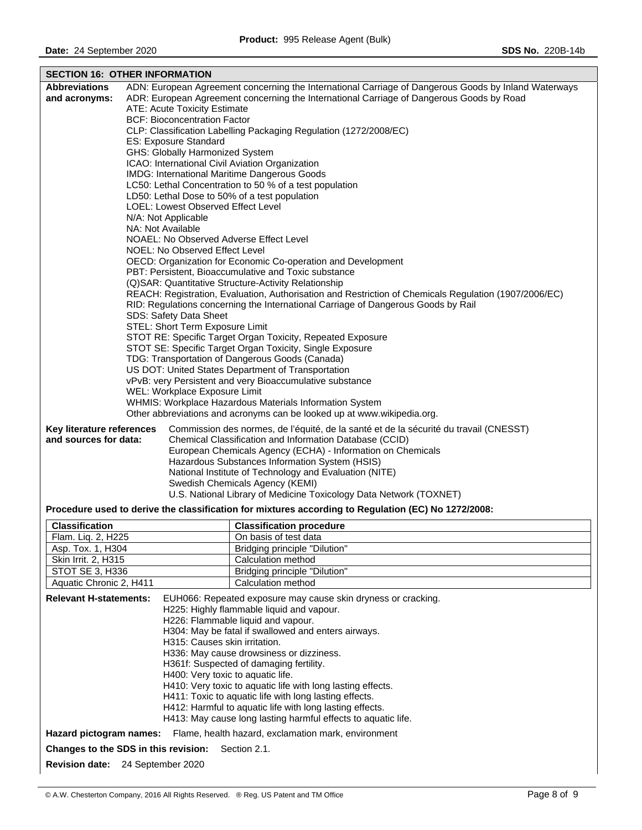| <b>SECTION 16: OTHER INFORMATION</b>                                                                        |                                                            |                                                                                                             |  |  |
|-------------------------------------------------------------------------------------------------------------|------------------------------------------------------------|-------------------------------------------------------------------------------------------------------------|--|--|
| <b>Abbreviations</b>                                                                                        |                                                            | ADN: European Agreement concerning the International Carriage of Dangerous Goods by Inland Waterways        |  |  |
| and acronyms:                                                                                               |                                                            | ADR: European Agreement concerning the International Carriage of Dangerous Goods by Road                    |  |  |
|                                                                                                             |                                                            | ATE: Acute Toxicity Estimate                                                                                |  |  |
|                                                                                                             |                                                            | <b>BCF: Bioconcentration Factor</b>                                                                         |  |  |
|                                                                                                             |                                                            | CLP: Classification Labelling Packaging Regulation (1272/2008/EC)                                           |  |  |
|                                                                                                             |                                                            | ES: Exposure Standard                                                                                       |  |  |
|                                                                                                             |                                                            | GHS: Globally Harmonized System                                                                             |  |  |
|                                                                                                             |                                                            | ICAO: International Civil Aviation Organization                                                             |  |  |
|                                                                                                             |                                                            | IMDG: International Maritime Dangerous Goods                                                                |  |  |
|                                                                                                             |                                                            | LC50: Lethal Concentration to 50 % of a test population                                                     |  |  |
|                                                                                                             |                                                            | LD50: Lethal Dose to 50% of a test population                                                               |  |  |
|                                                                                                             |                                                            | LOEL: Lowest Observed Effect Level                                                                          |  |  |
|                                                                                                             |                                                            | N/A: Not Applicable                                                                                         |  |  |
|                                                                                                             |                                                            | NA: Not Available                                                                                           |  |  |
|                                                                                                             |                                                            | NOAEL: No Observed Adverse Effect Level                                                                     |  |  |
|                                                                                                             |                                                            | NOEL: No Observed Effect Level                                                                              |  |  |
|                                                                                                             |                                                            | OECD: Organization for Economic Co-operation and Development                                                |  |  |
|                                                                                                             |                                                            | PBT: Persistent, Bioaccumulative and Toxic substance                                                        |  |  |
|                                                                                                             |                                                            | (Q)SAR: Quantitative Structure-Activity Relationship                                                        |  |  |
|                                                                                                             |                                                            | REACH: Registration, Evaluation, Authorisation and Restriction of Chemicals Regulation (1907/2006/EC)       |  |  |
|                                                                                                             |                                                            | RID: Regulations concerning the International Carriage of Dangerous Goods by Rail<br>SDS: Safety Data Sheet |  |  |
|                                                                                                             |                                                            | STEL: Short Term Exposure Limit                                                                             |  |  |
|                                                                                                             |                                                            |                                                                                                             |  |  |
|                                                                                                             | STOT RE: Specific Target Organ Toxicity, Repeated Exposure |                                                                                                             |  |  |
| STOT SE: Specific Target Organ Toxicity, Single Exposure<br>TDG: Transportation of Dangerous Goods (Canada) |                                                            |                                                                                                             |  |  |
| US DOT: United States Department of Transportation                                                          |                                                            |                                                                                                             |  |  |
| vPvB: very Persistent and very Bioaccumulative substance                                                    |                                                            |                                                                                                             |  |  |
| WEL: Workplace Exposure Limit                                                                               |                                                            |                                                                                                             |  |  |
| WHMIS: Workplace Hazardous Materials Information System                                                     |                                                            |                                                                                                             |  |  |
| Other abbreviations and acronyms can be looked up at www.wikipedia.org.                                     |                                                            |                                                                                                             |  |  |
|                                                                                                             |                                                            |                                                                                                             |  |  |
| Key literature references                                                                                   |                                                            | Commission des normes, de l'équité, de la santé et de la sécurité du travail (CNESST)                       |  |  |
| and sources for data:                                                                                       |                                                            | Chemical Classification and Information Database (CCID)                                                     |  |  |
|                                                                                                             |                                                            | European Chemicals Agency (ECHA) - Information on Chemicals                                                 |  |  |
|                                                                                                             |                                                            | Hazardous Substances Information System (HSIS)                                                              |  |  |
| National Institute of Technology and Evaluation (NITE)                                                      |                                                            |                                                                                                             |  |  |
|                                                                                                             |                                                            | Swedish Chemicals Agency (KEMI)                                                                             |  |  |
|                                                                                                             |                                                            | U.S. National Library of Medicine Toxicology Data Network (TOXNET)                                          |  |  |
|                                                                                                             |                                                            | Procedure used to derive the classification for mixtures according to Regulation (EC) No 1272/2008:         |  |  |
| Classification                                                                                              |                                                            | <b>Classification procedure</b>                                                                             |  |  |
| Flam. Liq. 2, H225                                                                                          |                                                            | On basis of test data                                                                                       |  |  |
| Asp. Tox. 1, H304                                                                                           |                                                            | Bridging principle "Dilution"                                                                               |  |  |
| Skin Irrit. 2, H315                                                                                         | Calculation method                                         |                                                                                                             |  |  |
| STOT SE 3, H336                                                                                             |                                                            | <b>Bridging principle "Dilution"</b>                                                                        |  |  |
| Aquatic Chronic 2, H411                                                                                     |                                                            | Calculation method                                                                                          |  |  |
|                                                                                                             |                                                            |                                                                                                             |  |  |
| <b>Relevant H-statements:</b>                                                                               |                                                            | EUH066: Repeated exposure may cause skin dryness or cracking.<br>H225: Highly flammable liquid and vapour.  |  |  |
|                                                                                                             |                                                            | H226: Flammable liquid and vapour.                                                                          |  |  |
|                                                                                                             |                                                            |                                                                                                             |  |  |

H304: May be fatal if swallowed and enters airways.

H410: Very toxic to aquatic life with long lasting effects. H411: Toxic to aquatic life with long lasting effects. H412: Harmful to aquatic life with long lasting effects. H413: May cause long lasting harmful effects to aquatic life.

H336: May cause drowsiness or dizziness. H361f: Suspected of damaging fertility. H400: Very toxic to aquatic life.

H315: Causes skin irritation.

**Hazard pictogram names:** Flame, health hazard, exclamation mark, environment

**Changes to the SDS in this revision:** Section 2.1.

**Revision date:** 24 September 2020